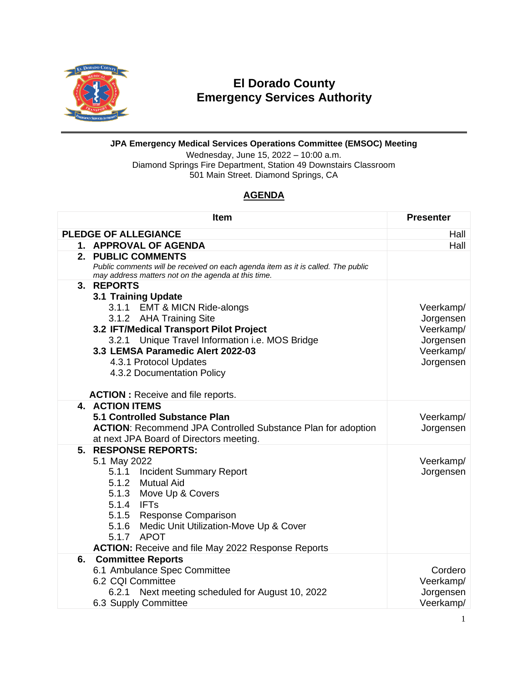

## **El Dorado County Emergency Services Authority**

## **JPA Emergency Medical Services Operations Committee (EMSOC) Meeting**

Wednesday, June 15, 2022 – 10:00 a.m. Diamond Springs Fire Department, Station 49 Downstairs Classroom 501 Main Street. Diamond Springs, CA

## **AGENDA**

|                                     | <b>Item</b>                                                                                                                                                                                                                                                                                                                             | <b>Presenter</b>                                                           |
|-------------------------------------|-----------------------------------------------------------------------------------------------------------------------------------------------------------------------------------------------------------------------------------------------------------------------------------------------------------------------------------------|----------------------------------------------------------------------------|
| <b>PLEDGE OF ALLEGIANCE</b><br>Hall |                                                                                                                                                                                                                                                                                                                                         |                                                                            |
|                                     | 1. APPROVAL OF AGENDA                                                                                                                                                                                                                                                                                                                   | Hall                                                                       |
|                                     | 2. PUBLIC COMMENTS<br>Public comments will be received on each agenda item as it is called. The public<br>may address matters not on the agenda at this time.                                                                                                                                                                           |                                                                            |
|                                     | 3. REPORTS<br>3.1 Training Update<br>3.1.1 EMT & MICN Ride-alongs<br>3.1.2 AHA Training Site<br>3.2 IFT/Medical Transport Pilot Project<br>Unique Travel Information i.e. MOS Bridge<br>3.2.1<br>3.3 LEMSA Paramedic Alert 2022-03<br>4.3.1 Protocol Updates<br>4.3.2 Documentation Policy<br><b>ACTION : Receive and file reports.</b> | Veerkamp/<br>Jorgensen<br>Veerkamp/<br>Jorgensen<br>Veerkamp/<br>Jorgensen |
|                                     | <b>4. ACTION ITEMS</b><br>5.1 Controlled Substance Plan<br><b>ACTION: Recommend JPA Controlled Substance Plan for adoption</b><br>at next JPA Board of Directors meeting.                                                                                                                                                               | Veerkamp/<br>Jorgensen                                                     |
|                                     | 5. RESPONSE REPORTS:<br>5.1 May 2022<br>5.1.1 Incident Summary Report<br>5.1.2 Mutual Aid<br>5.1.3 Move Up & Covers<br>5.1.4 IFTs<br>5.1.5 Response Comparison<br>5.1.6 Medic Unit Utilization-Move Up & Cover<br>5.1.7 APOT<br><b>ACTION:</b> Receive and file May 2022 Response Reports                                               | Veerkamp/<br>Jorgensen                                                     |
| 6.                                  | <b>Committee Reports</b><br>6.1 Ambulance Spec Committee<br>6.2 CQI Committee<br>Next meeting scheduled for August 10, 2022<br>6.2.1<br>6.3 Supply Committee                                                                                                                                                                            | Cordero<br>Veerkamp/<br>Jorgensen<br>Veerkamp/                             |